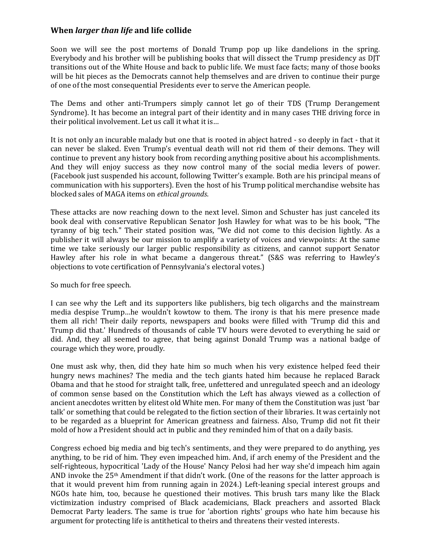## **When** *larger than life* **and life collide**

Soon we will see the post mortems of Donald Trump pop up like dandelions in the spring. Everybody and his brother will be publishing books that will dissect the Trump presidency as DJT transitions out of the White House and back to public life. We must face facts; many of those books will be hit pieces as the Democrats cannot help themselves and are driven to continue their purge of one of the most consequential Presidents ever to serve the American people.

The Dems and other anti-Trumpers simply cannot let go of their TDS (Trump Derangement Syndrome). It has become an integral part of their identity and in many cases THE driving force in their political involvement. Let us call it what it is…

It is not only an incurable malady but one that is rooted in abject hatred - so deeply in fact - that it can never be slaked. Even Trump's eventual death will not rid them of their demons. They will continue to prevent any history book from recording anything positive about his accomplishments. And they will enjoy success as they now control many of the social media levers of power. (Facebook just suspended his account, following Twitter's example. Both are his principal means of communication with his supporters). Even the host of his Trump political merchandise website has blocked sales of MAGA items on *ethical grounds*.

These attacks are now reaching down to the next level. Simon and Schuster has just canceled its book deal with conservative Republican Senator Josh Hawley for what was to be his book, "The tyranny of big tech." Their stated position was, "We did not come to this decision lightly. As a publisher it will always be our mission to amplify a variety of voices and viewpoints: At the same time we take seriously our larger public responsibility as citizens, and cannot support Senator Hawley after his role in what became a dangerous threat." (S&S was referring to Hawley's objections to vote certification of Pennsylvania's electoral votes.)

So much for free speech.

I can see why the Left and its supporters like publishers, big tech oligarchs and the mainstream media despise Trump…he wouldn't kowtow to them. The irony is that his mere presence made them all rich! Their daily reports, newspapers and books were filled with 'Trump did this and Trump did that.' Hundreds of thousands of cable TV hours were devoted to everything he said or did. And, they all seemed to agree, that being against Donald Trump was a national badge of courage which they wore, proudly.

One must ask why, then, did they hate him so much when his very existence helped feed their hungry news machines? The media and the tech giants hated him because he replaced Barack Obama and that he stood for straight talk, free, unfettered and unregulated speech and an ideology of common sense based on the Constitution which the Left has always viewed as a collection of ancient anecdotes written by elitest old White men. For many of them the Constitution was just 'bar talk' or something that could be relegated to the fiction section of their libraries. It was certainly not to be regarded as a blueprint for American greatness and fairness. Also, Trump did not fit their mold of how a President should act in public and they reminded him of that on a daily basis.

Congress echoed big media and big tech's sentiments, and they were prepared to do anything, yes anything, to be rid of him. They even impeached him. And, if arch enemy of the President and the self-righteous, hypocritical 'Lady of the House' Nancy Pelosi had her way she'd impeach him again AND invoke the 25th Amendment if that didn't work. (One of the reasons for the latter approach is that it would prevent him from running again in 2024.) Left-leaning special interest groups and NGOs hate him, too, because he questioned their motives. This brush tars many like the Black victimization industry comprised of Black academicians, Black preachers and assorted Black Democrat Party leaders. The same is true for 'abortion rights' groups who hate him because his argument for protecting life is antithetical to theirs and threatens their vested interests.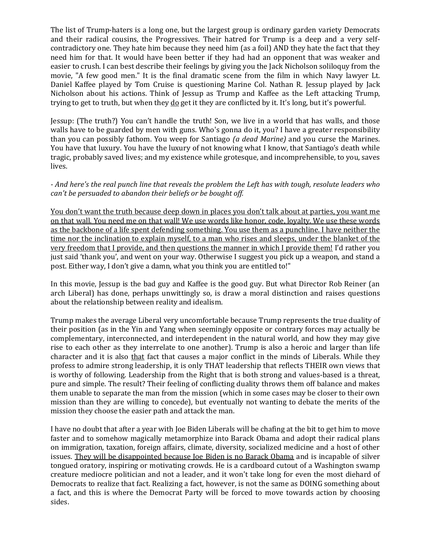The list of Trump-haters is a long one, but the largest group is ordinary garden variety Democrats and their radical cousins, the Progressives. Their hatred for Trump is a deep and a very selfcontradictory one. They hate him because they need him (as a foil) AND they hate the fact that they need him for that. It would have been better if they had had an opponent that was weaker and easier to crush. I can best describe their feelings by giving you the Jack Nicholson soliloquy from the movie, "A few good men." It is the final dramatic scene from the film in which Navy lawyer Lt. Daniel Kaffee played by Tom Cruise is questioning Marine Col. Nathan R. Jessup played by Jack Nicholson about his actions. Think of Jessup as Trump and Kaffee as the Left attacking Trump, trying to get to truth, but when they do get it they are conflicted by it. It's long, but it's powerful.

Jessup: (The truth?) You can't handle the truth! Son, we live in a world that has walls, and those walls have to be guarded by men with guns. Who's gonna do it, you? I have a greater responsibility than you can possibly fathom. You weep for Santiago *(a dead Marine)* and you curse the Marines. You have that luxury. You have the luxury of not knowing what I know, that Santiago's death while tragic, probably saved lives; and my existence while grotesque, and incomprehensible, to you, saves lives.

## *- And here's the real punch line that reveals the problem the Left has with tough, resolute leaders who can't be persuaded to abandon their beliefs or be bought off.*

You don't want the truth because deep down in places you don't talk about at parties, you want me on that wall. You need me on that wall! We use words like honor, code, loyalty. We use these words as the backbone of a life spent defending something. You use them as a punchline. I have neither the time nor the inclination to explain myself, to a man who rises and sleeps, under the blanket of the very freedom that I provide, and then questions the manner in which I provide them! I'd rather you just said 'thank you', and went on your way. Otherwise I suggest you pick up a weapon, and stand a post. Either way, I don't give a damn, what you think you are entitled to!"

In this movie, Jessup is the bad guy and Kaffee is the good guy. But what Director Rob Reiner (an arch Liberal) has done, perhaps unwittingly so, is draw a moral distinction and raises questions about the relationship between reality and idealism.

Trump makes the average Liberal very uncomfortable because Trump represents the true duality of their position (as in the Yin and Yang when seemingly opposite or contrary forces may actually be complementary, interconnected, and interdependent in the natural world, and how they may give rise to each other as they interrelate to one another). Trump is also a heroic and larger than life character and it is also that fact that causes a major conflict in the minds of Liberals. While they profess to admire strong leadership, it is only THAT leadership that reflects THEIR own views that is worthy of following. Leadership from the Right that is both strong and values-based is a threat, pure and simple. The result? Their feeling of conflicting duality throws them off balance and makes them unable to separate the man from the mission (which in some cases may be closer to their own mission than they are willing to concede), but eventually not wanting to debate the merits of the mission they choose the easier path and attack the man.

I have no doubt that after a year with Joe Biden Liberals will be chafing at the bit to get him to move faster and to somehow magically metamorphize into Barack Obama and adopt their radical plans on immigration, taxation, foreign affairs, climate, diversity, socialized medicine and a host of other issues. They will be disappointed because Joe Biden is no Barack Obama and is incapable of silver tongued oratory, inspiring or motivating crowds. He is a cardboard cutout of a Washington swamp creature mediocre politician and not a leader, and it won't take long for even the most diehard of Democrats to realize that fact. Realizing a fact, however, is not the same as DOING something about a fact, and this is where the Democrat Party will be forced to move towards action by choosing sides.